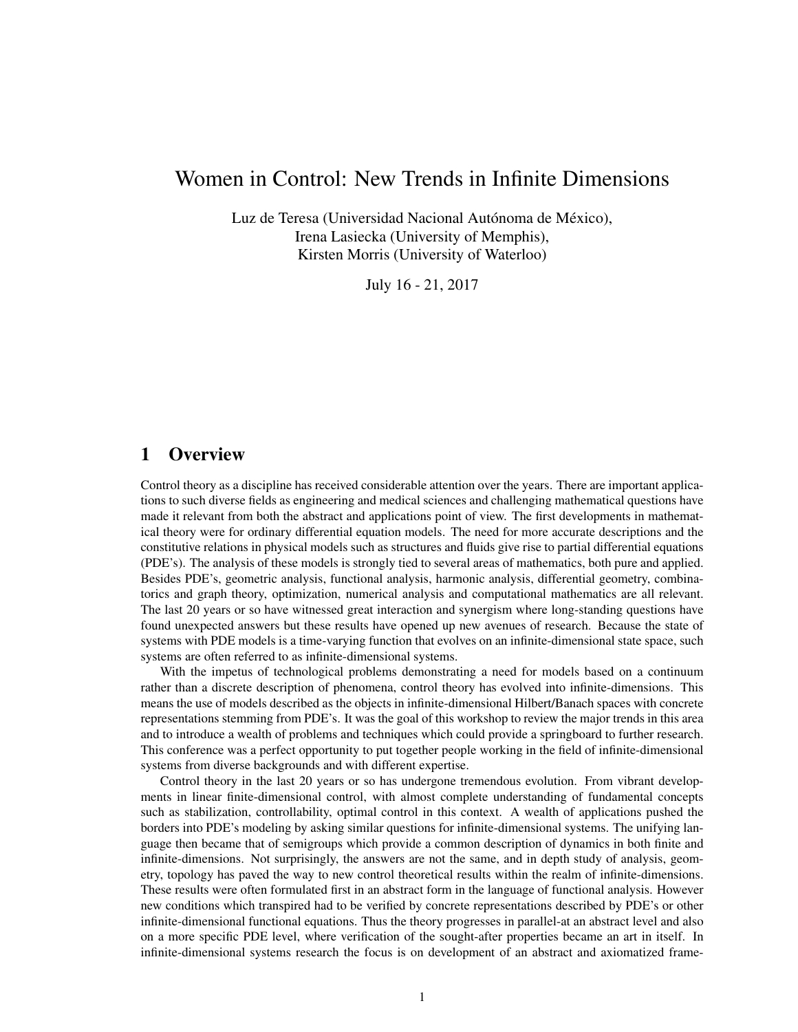# Women in Control: New Trends in Infinite Dimensions

Luz de Teresa (Universidad Nacional Autónoma de México), Irena Lasiecka (University of Memphis), Kirsten Morris (University of Waterloo)

July 16 - 21, 2017

# 1 Overview

Control theory as a discipline has received considerable attention over the years. There are important applications to such diverse fields as engineering and medical sciences and challenging mathematical questions have made it relevant from both the abstract and applications point of view. The first developments in mathematical theory were for ordinary differential equation models. The need for more accurate descriptions and the constitutive relations in physical models such as structures and fluids give rise to partial differential equations (PDE's). The analysis of these models is strongly tied to several areas of mathematics, both pure and applied. Besides PDE's, geometric analysis, functional analysis, harmonic analysis, differential geometry, combinatorics and graph theory, optimization, numerical analysis and computational mathematics are all relevant. The last 20 years or so have witnessed great interaction and synergism where long-standing questions have found unexpected answers but these results have opened up new avenues of research. Because the state of systems with PDE models is a time-varying function that evolves on an infinite-dimensional state space, such systems are often referred to as infinite-dimensional systems.

With the impetus of technological problems demonstrating a need for models based on a continuum rather than a discrete description of phenomena, control theory has evolved into infinite-dimensions. This means the use of models described as the objects in infinite-dimensional Hilbert/Banach spaces with concrete representations stemming from PDE's. It was the goal of this workshop to review the major trends in this area and to introduce a wealth of problems and techniques which could provide a springboard to further research. This conference was a perfect opportunity to put together people working in the field of infinite-dimensional systems from diverse backgrounds and with different expertise.

Control theory in the last 20 years or so has undergone tremendous evolution. From vibrant developments in linear finite-dimensional control, with almost complete understanding of fundamental concepts such as stabilization, controllability, optimal control in this context. A wealth of applications pushed the borders into PDE's modeling by asking similar questions for infinite-dimensional systems. The unifying language then became that of semigroups which provide a common description of dynamics in both finite and infinite-dimensions. Not surprisingly, the answers are not the same, and in depth study of analysis, geometry, topology has paved the way to new control theoretical results within the realm of infinite-dimensions. These results were often formulated first in an abstract form in the language of functional analysis. However new conditions which transpired had to be verified by concrete representations described by PDE's or other infinite-dimensional functional equations. Thus the theory progresses in parallel-at an abstract level and also on a more specific PDE level, where verification of the sought-after properties became an art in itself. In infinite-dimensional systems research the focus is on development of an abstract and axiomatized frame-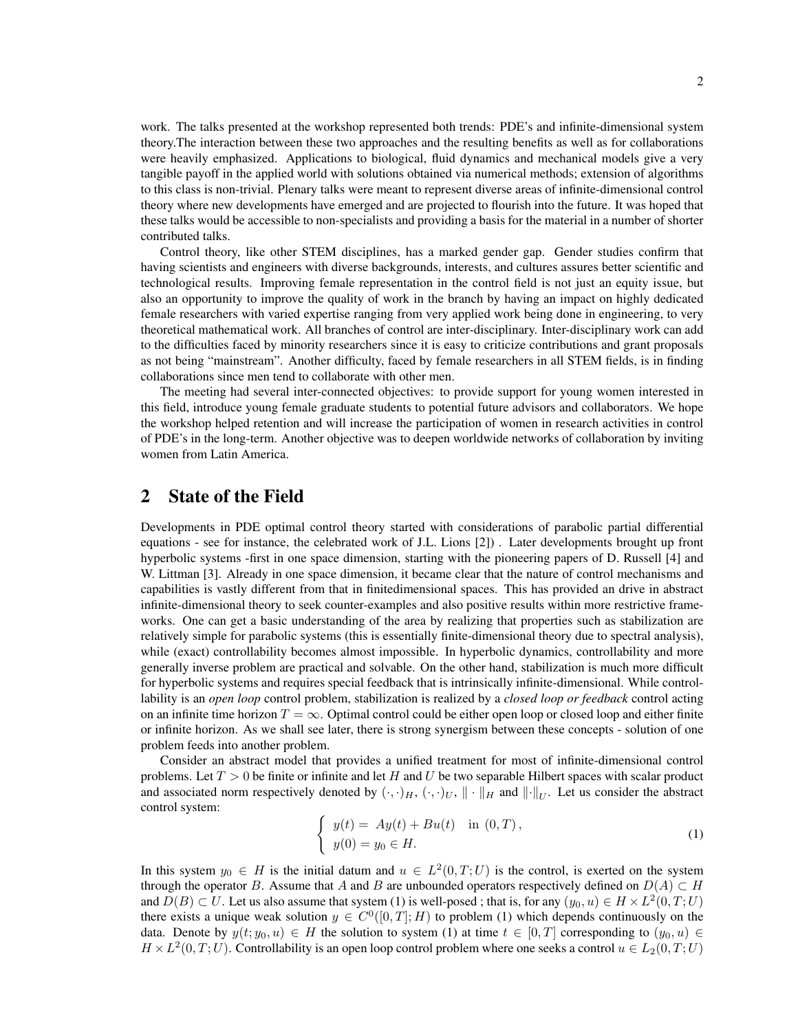work. The talks presented at the workshop represented both trends: PDE's and infinite-dimensional system theory.The interaction between these two approaches and the resulting benefits as well as for collaborations were heavily emphasized. Applications to biological, fluid dynamics and mechanical models give a very tangible payoff in the applied world with solutions obtained via numerical methods; extension of algorithms to this class is non-trivial. Plenary talks were meant to represent diverse areas of infinite-dimensional control theory where new developments have emerged and are projected to flourish into the future. It was hoped that these talks would be accessible to non-specialists and providing a basis for the material in a number of shorter contributed talks.

Control theory, like other STEM disciplines, has a marked gender gap. Gender studies confirm that having scientists and engineers with diverse backgrounds, interests, and cultures assures better scientific and technological results. Improving female representation in the control field is not just an equity issue, but also an opportunity to improve the quality of work in the branch by having an impact on highly dedicated female researchers with varied expertise ranging from very applied work being done in engineering, to very theoretical mathematical work. All branches of control are inter-disciplinary. Inter-disciplinary work can add to the difficulties faced by minority researchers since it is easy to criticize contributions and grant proposals as not being "mainstream". Another difficulty, faced by female researchers in all STEM fields, is in finding collaborations since men tend to collaborate with other men.

The meeting had several inter-connected objectives: to provide support for young women interested in this field, introduce young female graduate students to potential future advisors and collaborators. We hope the workshop helped retention and will increase the participation of women in research activities in control of PDE's in the long-term. Another objective was to deepen worldwide networks of collaboration by inviting women from Latin America.

# 2 State of the Field

Developments in PDE optimal control theory started with considerations of parabolic partial differential equations - see for instance, the celebrated work of J.L. Lions [\[2\]](#page-9-0)) . Later developments brought up front hyperbolic systems -first in one space dimension, starting with the pioneering papers of D. Russell [\[4\]](#page-9-1) and W. Littman [\[3\]](#page-9-2). Already in one space dimension, it became clear that the nature of control mechanisms and capabilities is vastly different from that in finitedimensional spaces. This has provided an drive in abstract infinite-dimensional theory to seek counter-examples and also positive results within more restrictive frameworks. One can get a basic understanding of the area by realizing that properties such as stabilization are relatively simple for parabolic systems (this is essentially finite-dimensional theory due to spectral analysis), while (exact) controllability becomes almost impossible. In hyperbolic dynamics, controllability and more generally inverse problem are practical and solvable. On the other hand, stabilization is much more difficult for hyperbolic systems and requires special feedback that is intrinsically infinite-dimensional. While controllability is an *open loop* control problem, stabilization is realized by a *closed loop or feedback* control acting on an infinite time horizon  $T = \infty$ . Optimal control could be either open loop or closed loop and either finite or infinite horizon. As we shall see later, there is strong synergism between these concepts - solution of one problem feeds into another problem.

Consider an abstract model that provides a unified treatment for most of infinite-dimensional control problems. Let  $T > 0$  be finite or infinite and let H and U be two separable Hilbert spaces with scalar product and associated norm respectively denoted by  $(\cdot, \cdot)_H$ ,  $(\cdot, \cdot)_U$ ,  $\|\cdot\|_H$  and  $\|\cdot\|_U$ . Let us consider the abstract control system:

<span id="page-1-0"></span>
$$
\begin{cases}\n y(t) = Ay(t) + Bu(t) & \text{in } (0, T), \\
y(0) = y_0 \in H.\n\end{cases}
$$
\n(1)

In this system  $y_0 \in H$  is the initial datum and  $u \in L^2(0,T;U)$  is the control, is exerted on the system through the operator B. Assume that A and B are unbounded operators respectively defined on  $D(A) \subset H$ and  $D(B) \subset U$ . Let us also assume that system [\(1\)](#page-1-0) is well-posed; that is, for any  $(y_0, u) \in H \times L^2(0, T; U)$ there exists a unique weak solution  $y \in C<sup>0</sup>(0,T]$ ; H) to problem [\(1\)](#page-1-0) which depends continuously on the data. Denote by  $y(t; y_0, u) \in H$  the solution to system [\(1\)](#page-1-0) at time  $t \in [0, T]$  corresponding to  $(y_0, u) \in H$  $H \times L^2(0,T;U)$ . Controllability is an open loop control problem where one seeks a control  $u \in L_2(0,T;U)$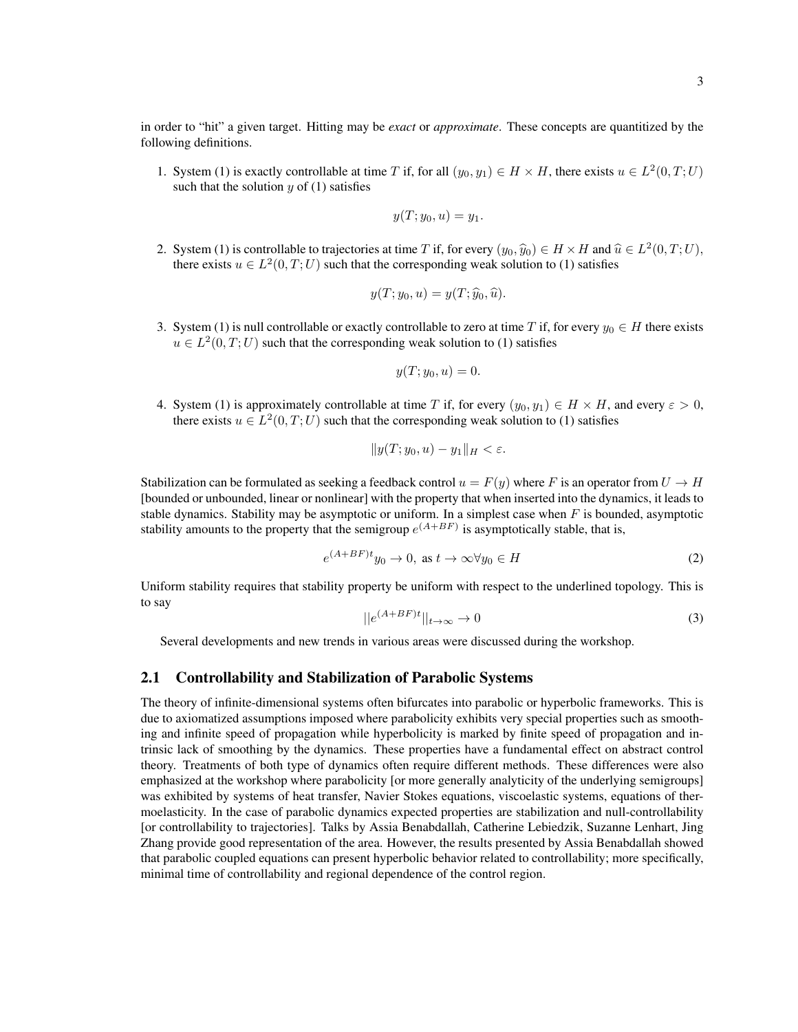in order to "hit" a given target. Hitting may be *exact* or *approximate*. These concepts are quantitized by the following definitions.

1. System [\(1\)](#page-1-0) is exactly controllable at time T if, for all  $(y_0, y_1) \in H \times H$ , there exists  $u \in L^2(0, T; U)$ such that the solution  $y$  of  $(1)$  satisfies

$$
y(T; y_0, u) = y_1.
$$

2. System [\(1\)](#page-1-0) is controllable to trajectories at time T if, for every  $(y_0, \hat{y}_0) \in H \times H$  and  $\hat{u} \in L^2(0, T; U)$ , there exists  $y \in L^2(0, T; U)$  such that the corresponding weak solution to (1) satisfies there exists  $u \in L^2(0,T;U)$  such that the corresponding weak solution to [\(1\)](#page-1-0) satisfies

$$
y(T; y_0, u) = y(T; \widehat{y}_0, \widehat{u}).
$$

3. System [\(1\)](#page-1-0) is null controllable or exactly controllable to zero at time T if, for every  $y_0 \in H$  there exists  $u \in L^2(0,T;U)$  such that the corresponding weak solution to [\(1\)](#page-1-0) satisfies

$$
y(T; y_0, u) = 0.
$$

4. System [\(1\)](#page-1-0) is approximately controllable at time T if, for every  $(y_0, y_1) \in H \times H$ , and every  $\varepsilon > 0$ , there exists  $u \in L^2(0,T;U)$  such that the corresponding weak solution to [\(1\)](#page-1-0) satisfies

$$
||y(T; y_0, u) - y_1||_H < \varepsilon.
$$

Stabilization can be formulated as seeking a feedback control  $u = F(y)$  where F is an operator from  $U \to H$ [bounded or unbounded, linear or nonlinear] with the property that when inserted into the dynamics, it leads to stable dynamics. Stability may be asymptotic or uniform. In a simplest case when  $F$  is bounded, asymptotic stability amounts to the property that the semigroup  $e^{(A+BF)}$  is asymptotically stable, that is,

$$
e^{(A+BF)t}y_0 \to 0, \text{ as } t \to \infty \forall y_0 \in H
$$
 (2)

Uniform stability requires that stability property be uniform with respect to the underlined topology. This is to say

$$
||e^{(A+BF)t}||_{t\to\infty} \to 0
$$
\n(3)

Several developments and new trends in various areas were discussed during the workshop.

### 2.1 Controllability and Stabilization of Parabolic Systems

The theory of infinite-dimensional systems often bifurcates into parabolic or hyperbolic frameworks. This is due to axiomatized assumptions imposed where parabolicity exhibits very special properties such as smoothing and infinite speed of propagation while hyperbolicity is marked by finite speed of propagation and intrinsic lack of smoothing by the dynamics. These properties have a fundamental effect on abstract control theory. Treatments of both type of dynamics often require different methods. These differences were also emphasized at the workshop where parabolicity [or more generally analyticity of the underlying semigroups] was exhibited by systems of heat transfer, Navier Stokes equations, viscoelastic systems, equations of thermoelasticity. In the case of parabolic dynamics expected properties are stabilization and null-controllability [or controllability to trajectories]. Talks by Assia Benabdallah, Catherine Lebiedzik, Suzanne Lenhart, Jing Zhang provide good representation of the area. However, the results presented by Assia Benabdallah showed that parabolic coupled equations can present hyperbolic behavior related to controllability; more specifically, minimal time of controllability and regional dependence of the control region.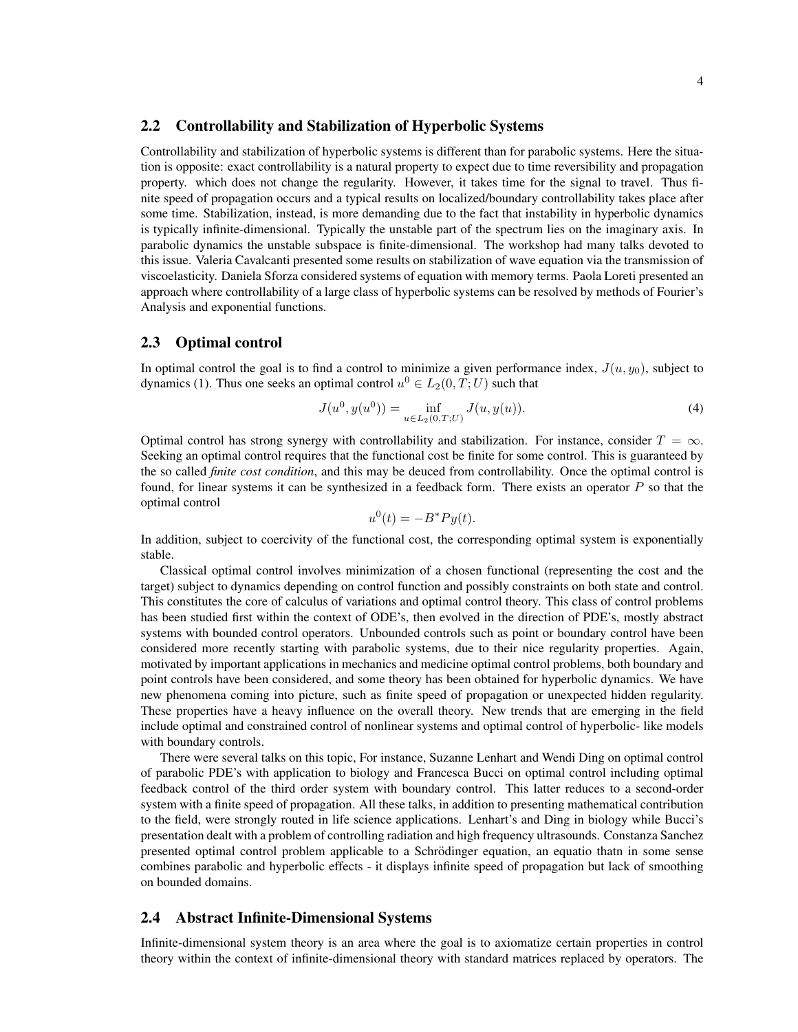### 2.2 Controllability and Stabilization of Hyperbolic Systems

Controllability and stabilization of hyperbolic systems is different than for parabolic systems. Here the situation is opposite: exact controllability is a natural property to expect due to time reversibility and propagation property. which does not change the regularity. However, it takes time for the signal to travel. Thus finite speed of propagation occurs and a typical results on localized/boundary controllability takes place after some time. Stabilization, instead, is more demanding due to the fact that instability in hyperbolic dynamics is typically infinite-dimensional. Typically the unstable part of the spectrum lies on the imaginary axis. In parabolic dynamics the unstable subspace is finite-dimensional. The workshop had many talks devoted to this issue. Valeria Cavalcanti presented some results on stabilization of wave equation via the transmission of viscoelasticity. Daniela Sforza considered systems of equation with memory terms. Paola Loreti presented an approach where controllability of a large class of hyperbolic systems can be resolved by methods of Fourier's Analysis and exponential functions.

### 2.3 Optimal control

In optimal control the goal is to find a control to minimize a given performance index,  $J(u, y_0)$ , subject to dynamics [\(1\)](#page-1-0). Thus one seeks an optimal control  $u^0 \in L_2(0,T;U)$  such that

$$
J(u^0, y(u^0)) = \inf_{u \in L_2(0, T; U)} J(u, y(u)).
$$
\n(4)

Optimal control has strong synergy with controllability and stabilization. For instance, consider  $T = \infty$ . Seeking an optimal control requires that the functional cost be finite for some control. This is guaranteed by the so called *finite cost condition*, and this may be deuced from controllability. Once the optimal control is found, for linear systems it can be synthesized in a feedback form. There exists an operator  $P$  so that the optimal control

$$
u^0(t) = -B^*Py(t).
$$

In addition, subject to coercivity of the functional cost, the corresponding optimal system is exponentially stable.

Classical optimal control involves minimization of a chosen functional (representing the cost and the target) subject to dynamics depending on control function and possibly constraints on both state and control. This constitutes the core of calculus of variations and optimal control theory. This class of control problems has been studied first within the context of ODE's, then evolved in the direction of PDE's, mostly abstract systems with bounded control operators. Unbounded controls such as point or boundary control have been considered more recently starting with parabolic systems, due to their nice regularity properties. Again, motivated by important applications in mechanics and medicine optimal control problems, both boundary and point controls have been considered, and some theory has been obtained for hyperbolic dynamics. We have new phenomena coming into picture, such as finite speed of propagation or unexpected hidden regularity. These properties have a heavy influence on the overall theory. New trends that are emerging in the field include optimal and constrained control of nonlinear systems and optimal control of hyperbolic- like models with boundary controls.

There were several talks on this topic, For instance, Suzanne Lenhart and Wendi Ding on optimal control of parabolic PDE's with application to biology and Francesca Bucci on optimal control including optimal feedback control of the third order system with boundary control. This latter reduces to a second-order system with a finite speed of propagation. All these talks, in addition to presenting mathematical contribution to the field, were strongly routed in life science applications. Lenhart's and Ding in biology while Bucci's presentation dealt with a problem of controlling radiation and high frequency ultrasounds. Constanza Sanchez presented optimal control problem applicable to a Schrödinger equation, an equatio thatn in some sense combines parabolic and hyperbolic effects - it displays infinite speed of propagation but lack of smoothing on bounded domains.

## 2.4 Abstract Infinite-Dimensional Systems

Infinite-dimensional system theory is an area where the goal is to axiomatize certain properties in control theory within the context of infinite-dimensional theory with standard matrices replaced by operators. The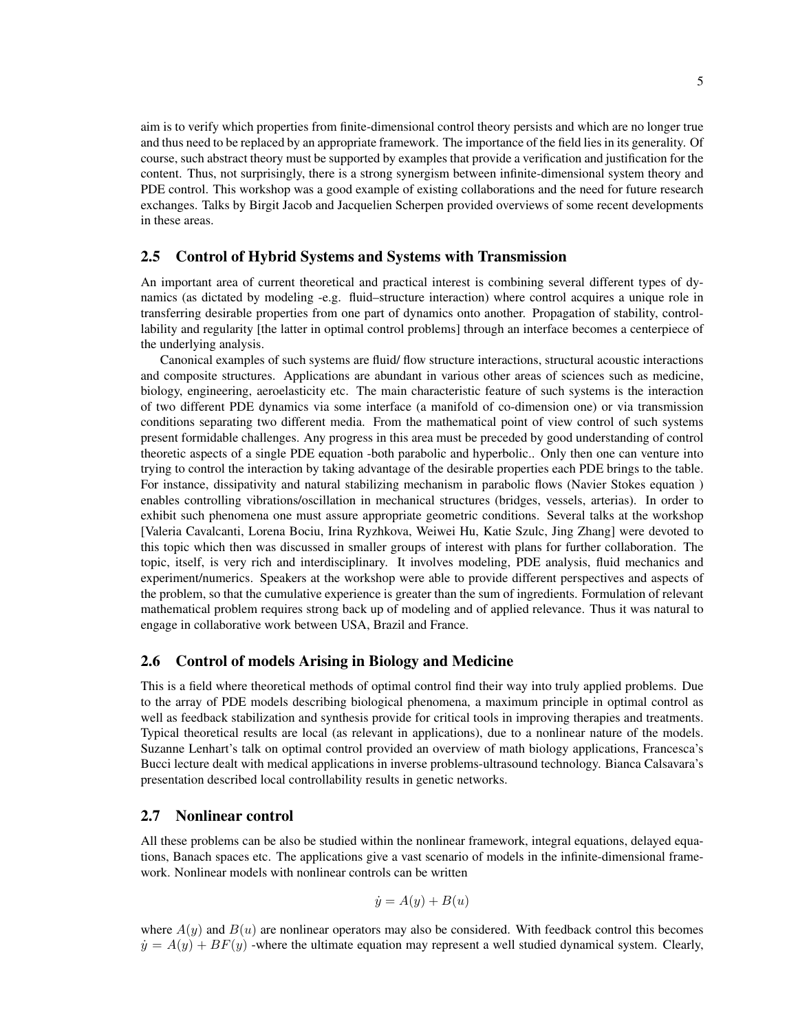aim is to verify which properties from finite-dimensional control theory persists and which are no longer true and thus need to be replaced by an appropriate framework. The importance of the field lies in its generality. Of course, such abstract theory must be supported by examples that provide a verification and justification for the content. Thus, not surprisingly, there is a strong synergism between infinite-dimensional system theory and PDE control. This workshop was a good example of existing collaborations and the need for future research exchanges. Talks by Birgit Jacob and Jacquelien Scherpen provided overviews of some recent developments in these areas.

### 2.5 Control of Hybrid Systems and Systems with Transmission

An important area of current theoretical and practical interest is combining several different types of dynamics (as dictated by modeling -e.g. fluid–structure interaction) where control acquires a unique role in transferring desirable properties from one part of dynamics onto another. Propagation of stability, controllability and regularity [the latter in optimal control problems] through an interface becomes a centerpiece of the underlying analysis.

Canonical examples of such systems are fluid/ flow structure interactions, structural acoustic interactions and composite structures. Applications are abundant in various other areas of sciences such as medicine, biology, engineering, aeroelasticity etc. The main characteristic feature of such systems is the interaction of two different PDE dynamics via some interface (a manifold of co-dimension one) or via transmission conditions separating two different media. From the mathematical point of view control of such systems present formidable challenges. Any progress in this area must be preceded by good understanding of control theoretic aspects of a single PDE equation -both parabolic and hyperbolic.. Only then one can venture into trying to control the interaction by taking advantage of the desirable properties each PDE brings to the table. For instance, dissipativity and natural stabilizing mechanism in parabolic flows (Navier Stokes equation ) enables controlling vibrations/oscillation in mechanical structures (bridges, vessels, arterias). In order to exhibit such phenomena one must assure appropriate geometric conditions. Several talks at the workshop [Valeria Cavalcanti, Lorena Bociu, Irina Ryzhkova, Weiwei Hu, Katie Szulc, Jing Zhang] were devoted to this topic which then was discussed in smaller groups of interest with plans for further collaboration. The topic, itself, is very rich and interdisciplinary. It involves modeling, PDE analysis, fluid mechanics and experiment/numerics. Speakers at the workshop were able to provide different perspectives and aspects of the problem, so that the cumulative experience is greater than the sum of ingredients. Formulation of relevant mathematical problem requires strong back up of modeling and of applied relevance. Thus it was natural to engage in collaborative work between USA, Brazil and France.

# 2.6 Control of models Arising in Biology and Medicine

This is a field where theoretical methods of optimal control find their way into truly applied problems. Due to the array of PDE models describing biological phenomena, a maximum principle in optimal control as well as feedback stabilization and synthesis provide for critical tools in improving therapies and treatments. Typical theoretical results are local (as relevant in applications), due to a nonlinear nature of the models. Suzanne Lenhart's talk on optimal control provided an overview of math biology applications, Francesca's Bucci lecture dealt with medical applications in inverse problems-ultrasound technology. Bianca Calsavara's presentation described local controllability results in genetic networks.

### 2.7 Nonlinear control

All these problems can be also be studied within the nonlinear framework, integral equations, delayed equations, Banach spaces etc. The applications give a vast scenario of models in the infinite-dimensional framework. Nonlinear models with nonlinear controls can be written

$$
\dot{y} = A(y) + B(u)
$$

where  $A(y)$  and  $B(u)$  are nonlinear operators may also be considered. With feedback control this becomes  $\dot{y} = A(y) + BF(y)$  -where the ultimate equation may represent a well studied dynamical system. Clearly,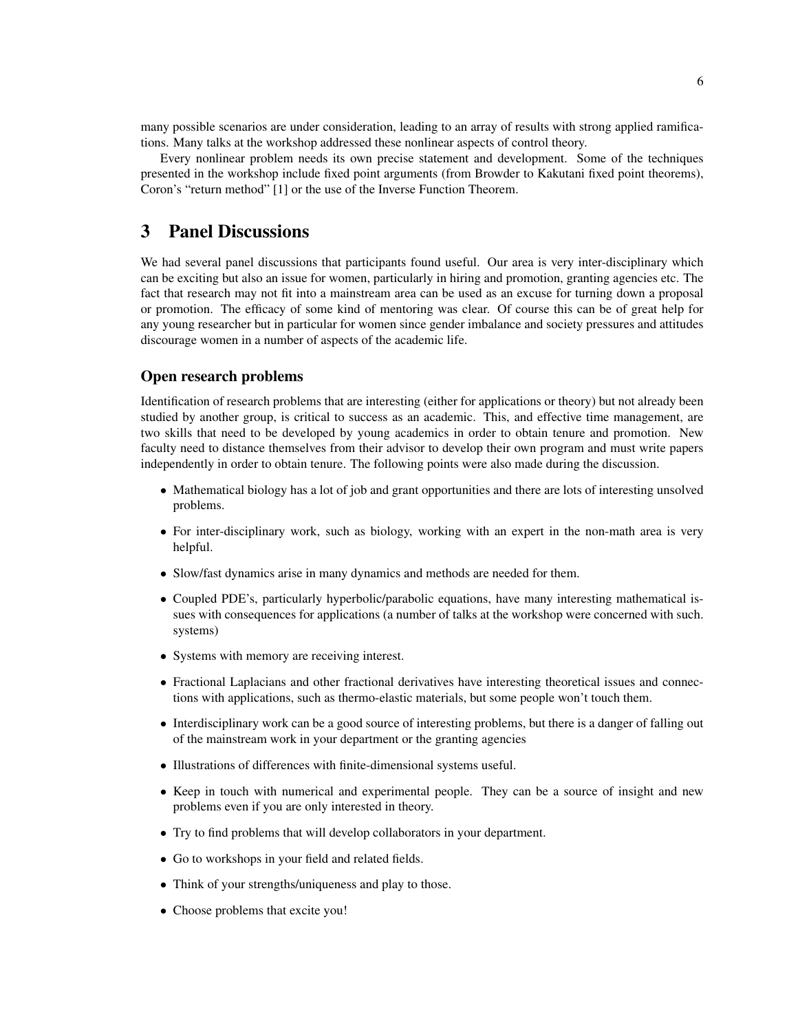many possible scenarios are under consideration, leading to an array of results with strong applied ramifications. Many talks at the workshop addressed these nonlinear aspects of control theory.

Every nonlinear problem needs its own precise statement and development. Some of the techniques presented in the workshop include fixed point arguments (from Browder to Kakutani fixed point theorems), Coron's "return method" [\[1\]](#page-9-3) or the use of the Inverse Function Theorem.

# 3 Panel Discussions

We had several panel discussions that participants found useful. Our area is very inter-disciplinary which can be exciting but also an issue for women, particularly in hiring and promotion, granting agencies etc. The fact that research may not fit into a mainstream area can be used as an excuse for turning down a proposal or promotion. The efficacy of some kind of mentoring was clear. Of course this can be of great help for any young researcher but in particular for women since gender imbalance and society pressures and attitudes discourage women in a number of aspects of the academic life.

### Open research problems

Identification of research problems that are interesting (either for applications or theory) but not already been studied by another group, is critical to success as an academic. This, and effective time management, are two skills that need to be developed by young academics in order to obtain tenure and promotion. New faculty need to distance themselves from their advisor to develop their own program and must write papers independently in order to obtain tenure. The following points were also made during the discussion.

- Mathematical biology has a lot of job and grant opportunities and there are lots of interesting unsolved problems.
- For inter-disciplinary work, such as biology, working with an expert in the non-math area is very helpful.
- Slow/fast dynamics arise in many dynamics and methods are needed for them.
- Coupled PDE's, particularly hyperbolic/parabolic equations, have many interesting mathematical issues with consequences for applications (a number of talks at the workshop were concerned with such. systems)
- Systems with memory are receiving interest.
- Fractional Laplacians and other fractional derivatives have interesting theoretical issues and connections with applications, such as thermo-elastic materials, but some people won't touch them.
- Interdisciplinary work can be a good source of interesting problems, but there is a danger of falling out of the mainstream work in your department or the granting agencies
- Illustrations of differences with finite-dimensional systems useful.
- Keep in touch with numerical and experimental people. They can be a source of insight and new problems even if you are only interested in theory.
- Try to find problems that will develop collaborators in your department.
- Go to workshops in your field and related fields.
- Think of your strengths/uniqueness and play to those.
- Choose problems that excite you!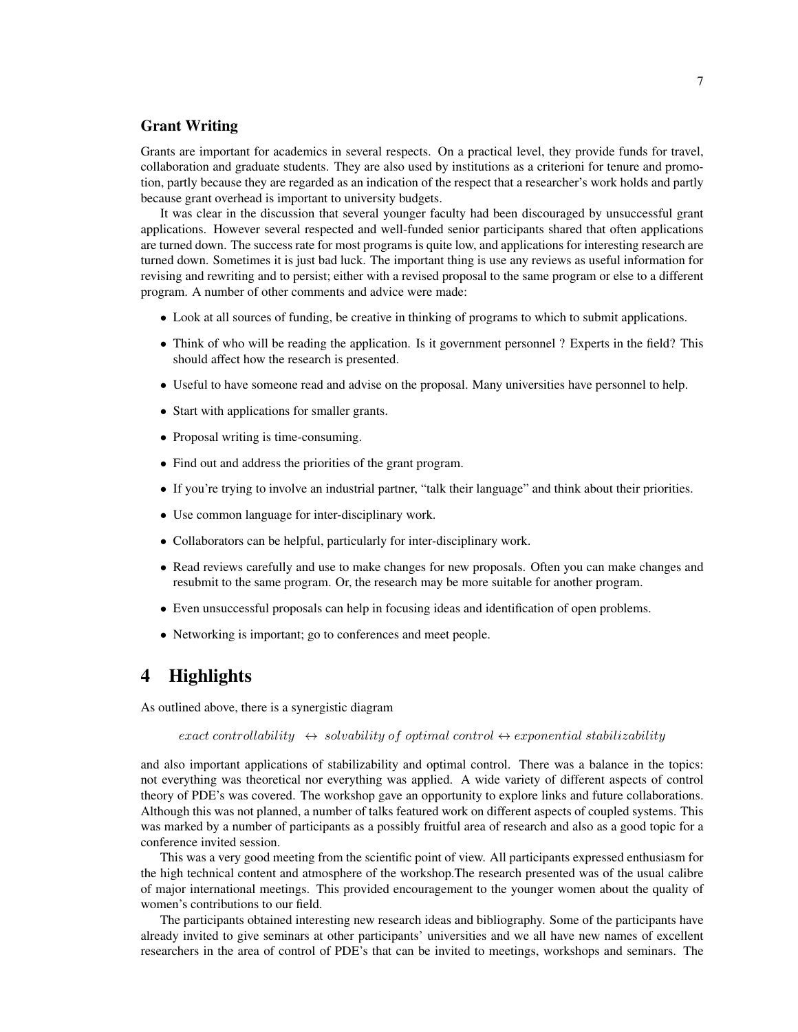## Grant Writing

Grants are important for academics in several respects. On a practical level, they provide funds for travel, collaboration and graduate students. They are also used by institutions as a criterioni for tenure and promotion, partly because they are regarded as an indication of the respect that a researcher's work holds and partly because grant overhead is important to university budgets.

It was clear in the discussion that several younger faculty had been discouraged by unsuccessful grant applications. However several respected and well-funded senior participants shared that often applications are turned down. The success rate for most programs is quite low, and applications for interesting research are turned down. Sometimes it is just bad luck. The important thing is use any reviews as useful information for revising and rewriting and to persist; either with a revised proposal to the same program or else to a different program. A number of other comments and advice were made:

- Look at all sources of funding, be creative in thinking of programs to which to submit applications.
- Think of who will be reading the application. Is it government personnel ? Experts in the field? This should affect how the research is presented.
- Useful to have someone read and advise on the proposal. Many universities have personnel to help.
- Start with applications for smaller grants.
- Proposal writing is time-consuming.
- Find out and address the priorities of the grant program.
- If you're trying to involve an industrial partner, "talk their language" and think about their priorities.
- Use common language for inter-disciplinary work.
- Collaborators can be helpful, particularly for inter-disciplinary work.
- Read reviews carefully and use to make changes for new proposals. Often you can make changes and resubmit to the same program. Or, the research may be more suitable for another program.
- Even unsuccessful proposals can help in focusing ideas and identification of open problems.
- Networking is important; go to conferences and meet people.

# 4 Highlights

As outlined above, there is a synergistic diagram

exact controllability  $\leftrightarrow$  solvability of optimal control  $\leftrightarrow$  exponential stabilizability

and also important applications of stabilizability and optimal control. There was a balance in the topics: not everything was theoretical nor everything was applied. A wide variety of different aspects of control theory of PDE's was covered. The workshop gave an opportunity to explore links and future collaborations. Although this was not planned, a number of talks featured work on different aspects of coupled systems. This was marked by a number of participants as a possibly fruitful area of research and also as a good topic for a conference invited session.

This was a very good meeting from the scientific point of view. All participants expressed enthusiasm for the high technical content and atmosphere of the workshop.The research presented was of the usual calibre of major international meetings. This provided encouragement to the younger women about the quality of women's contributions to our field.

The participants obtained interesting new research ideas and bibliography. Some of the participants have already invited to give seminars at other participants' universities and we all have new names of excellent researchers in the area of control of PDE's that can be invited to meetings, workshops and seminars. The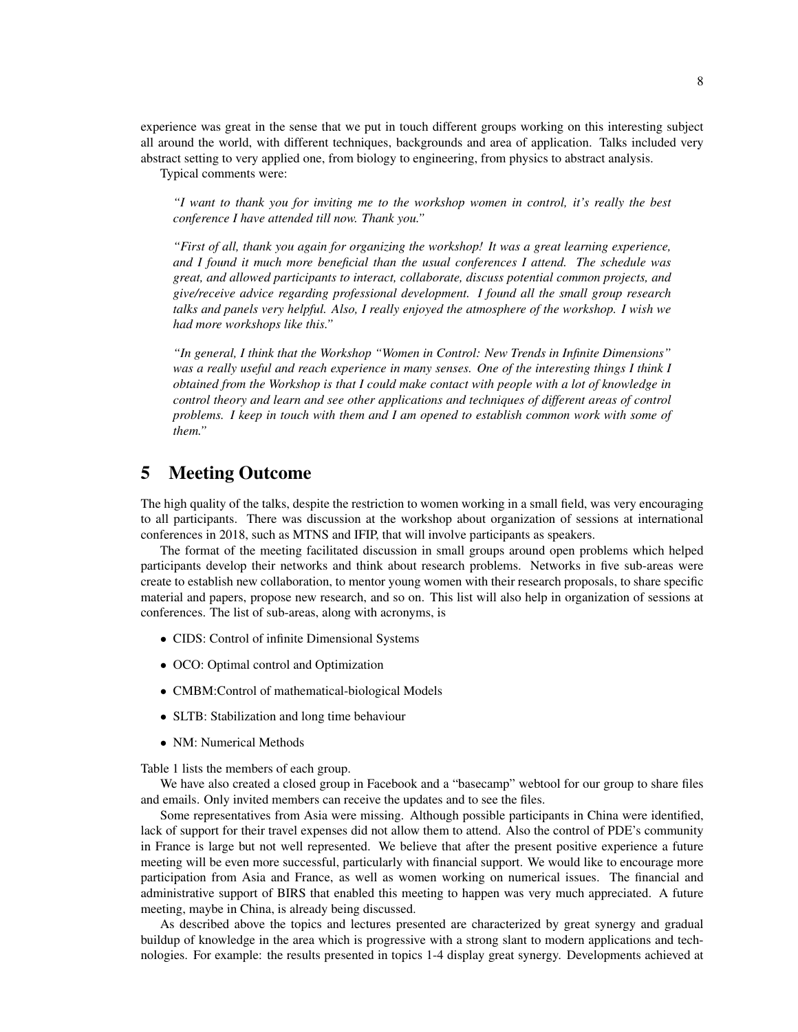experience was great in the sense that we put in touch different groups working on this interesting subject all around the world, with different techniques, backgrounds and area of application. Talks included very abstract setting to very applied one, from biology to engineering, from physics to abstract analysis.

Typical comments were:

*"I want to thank you for inviting me to the workshop women in control, it's really the best conference I have attended till now. Thank you."*

*"First of all, thank you again for organizing the workshop! It was a great learning experience, and I found it much more beneficial than the usual conferences I attend. The schedule was great, and allowed participants to interact, collaborate, discuss potential common projects, and give/receive advice regarding professional development. I found all the small group research talks and panels very helpful. Also, I really enjoyed the atmosphere of the workshop. I wish we had more workshops like this."*

*"In general, I think that the Workshop "Women in Control: New Trends in Infinite Dimensions" was a really useful and reach experience in many senses. One of the interesting things I think I obtained from the Workshop is that I could make contact with people with a lot of knowledge in control theory and learn and see other applications and techniques of different areas of control problems. I keep in touch with them and I am opened to establish common work with some of them."*

# 5 Meeting Outcome

The high quality of the talks, despite the restriction to women working in a small field, was very encouraging to all participants. There was discussion at the workshop about organization of sessions at international conferences in 2018, such as MTNS and IFIP, that will involve participants as speakers.

The format of the meeting facilitated discussion in small groups around open problems which helped participants develop their networks and think about research problems. Networks in five sub-areas were create to establish new collaboration, to mentor young women with their research proposals, to share specific material and papers, propose new research, and so on. This list will also help in organization of sessions at conferences. The list of sub-areas, along with acronyms, is

- CIDS: Control of infinite Dimensional Systems
- OCO: Optimal control and Optimization
- CMBM: Control of mathematical-biological Models
- SLTB: Stabilization and long time behaviour
- NM: Numerical Methods

Table [1](#page-8-0) lists the members of each group.

We have also created a closed group in Facebook and a "basecamp" webtool for our group to share files and emails. Only invited members can receive the updates and to see the files.

Some representatives from Asia were missing. Although possible participants in China were identified, lack of support for their travel expenses did not allow them to attend. Also the control of PDE's community in France is large but not well represented. We believe that after the present positive experience a future meeting will be even more successful, particularly with financial support. We would like to encourage more participation from Asia and France, as well as women working on numerical issues. The financial and administrative support of BIRS that enabled this meeting to happen was very much appreciated. A future meeting, maybe in China, is already being discussed.

As described above the topics and lectures presented are characterized by great synergy and gradual buildup of knowledge in the area which is progressive with a strong slant to modern applications and technologies. For example: the results presented in topics 1-4 display great synergy. Developments achieved at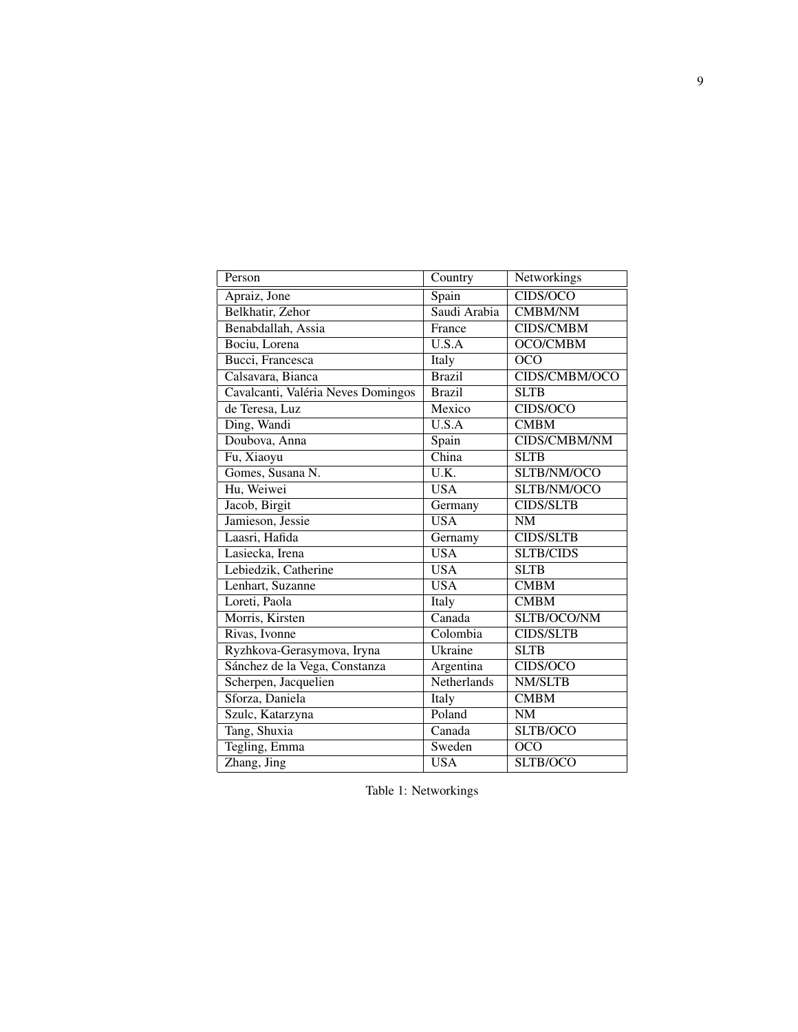| Person                             | Country                    | Networkings         |
|------------------------------------|----------------------------|---------------------|
| Apraiz, Jone                       | Spain                      | CIDS/OCO            |
| Belkhatir, Zehor                   | Saudi Arabia               | <b>CMBM/NM</b>      |
| Benabdallah, Assia                 | France                     | <b>CIDS/CMBM</b>    |
| Bociu, Lorena                      | $\overline{\text{U.S.A}}$  | OCO/CMBM            |
| Bucci, Francesca                   | Italy                      | OCO                 |
| Calsavara, Bianca                  | <b>Brazil</b>              | CIDS/CMBM/OCO       |
| Cavalcanti, Valéria Neves Domingos | <b>Brazil</b>              | <b>SLTB</b>         |
| de Teresa, Luz                     | Mexico                     | CIDS/OCO            |
| Ding, Wandi                        | U.S.A                      | <b>CMBM</b>         |
| Doubova, Anna                      | Spain                      | <b>CIDS/CMBM/NM</b> |
| Fu, Xiaoyu                         | China                      | <b>SLTB</b>         |
| Gomes, Susana N.                   | U.K.                       | SLTB/NM/OCO         |
| Hu, Weiwei                         | <b>USA</b>                 | SLTB/NM/OCO         |
| Jacob, Birgit                      | Germany                    | <b>CIDS/SLTB</b>    |
| Jamieson, Jessie                   | <b>USA</b>                 | <b>NM</b>           |
| Laasri, Hafida                     | Gernamy                    | <b>CIDS/SLTB</b>    |
| Lasiecka, Irena                    | <b>USA</b>                 | <b>SLTB/CIDS</b>    |
| Lebiedzik, Catherine               | <b>USA</b>                 | <b>SLTB</b>         |
| Lenhart, Suzanne                   | <b>USA</b>                 | <b>CMBM</b>         |
| Loreti, Paola                      | Italy                      | <b>CMBM</b>         |
| Morris, Kirsten                    | $\overline{\text{Canada}}$ | SLTB/OCO/NM         |
| Rivas, Ivonne                      | Colombia                   | <b>CIDS/SLTB</b>    |
| Ryzhkova-Gerasymova, Iryna         | Ukraine                    | <b>SLTB</b>         |
| Sánchez de la Vega, Constanza      | Argentina                  | CIDS/OCO            |
| Scherpen, Jacquelien               | Netherlands                | <b>NM/SLTB</b>      |
| Sforza, Daniela                    | Italy                      | <b>CMBM</b>         |
| Szulc, Katarzyna                   | Poland                     | <b>NM</b>           |
| Tang, Shuxia                       | Canada                     | SLTB/OCO            |
| Tegling, Emma                      | Sweden                     | OCO                 |
| Zhang, Jing                        | <b>USA</b>                 | SLTB/OCO            |

<span id="page-8-0"></span>Table 1: Networkings